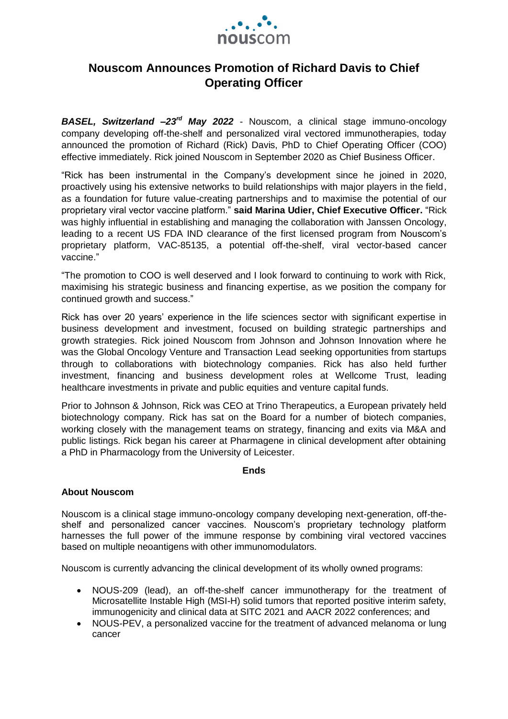

## **Nouscom Announces Promotion of Richard Davis to Chief Operating Officer**

*BASEL, Switzerland –23rd May 2022* - Nouscom, a clinical stage immuno-oncology company developing off-the-shelf and personalized viral vectored immunotherapies, today announced the promotion of Richard (Rick) Davis, PhD to Chief Operating Officer (COO) effective immediately. Rick joined Nouscom in September 2020 as Chief Business Officer.

"Rick has been instrumental in the Company's development since he joined in 2020, proactively using his extensive networks to build relationships with major players in the field, as a foundation for future value-creating partnerships and to maximise the potential of our proprietary viral vector vaccine platform." **said Marina Udier, Chief Executive Officer.** "Rick was highly influential in establishing and managing the collaboration with Janssen Oncology, leading to a recent US FDA IND clearance of the first licensed program from Nouscom's proprietary platform, VAC-85135, a potential off-the-shelf, viral vector-based cancer vaccine."

"The promotion to COO is well deserved and I look forward to continuing to work with Rick, maximising his strategic business and financing expertise, as we position the company for continued growth and success."

Rick has over 20 years' experience in the life sciences sector with significant expertise in business development and investment, focused on building strategic partnerships and growth strategies. Rick joined Nouscom from Johnson and Johnson Innovation where he was the Global Oncology Venture and Transaction Lead seeking opportunities from startups through to collaborations with biotechnology companies. Rick has also held further investment, financing and business development roles at Wellcome Trust, leading healthcare investments in private and public equities and venture capital funds.

Prior to Johnson & Johnson, Rick was CEO at Trino Therapeutics, a European privately held biotechnology company. Rick has sat on the Board for a number of biotech companies, working closely with the management teams on strategy, financing and exits via M&A and public listings. Rick began his career at Pharmagene in clinical development after obtaining a PhD in Pharmacology from the University of Leicester.

## **Ends**

## **About Nouscom**

Nouscom is a clinical stage immuno-oncology company developing next-generation, off-theshelf and personalized cancer vaccines. Nouscom's proprietary technology platform harnesses the full power of the immune response by combining viral vectored vaccines based on multiple neoantigens with other immunomodulators.

Nouscom is currently advancing the clinical development of its wholly owned programs:

- NOUS-209 (lead), an off-the-shelf cancer immunotherapy for the treatment of Microsatellite Instable High (MSI-H) solid tumors that reported positive interim safety, immunogenicity and clinical data at SITC 2021 and AACR 2022 conferences; and
- NOUS-PEV, a personalized vaccine for the treatment of advanced melanoma or lung cancer